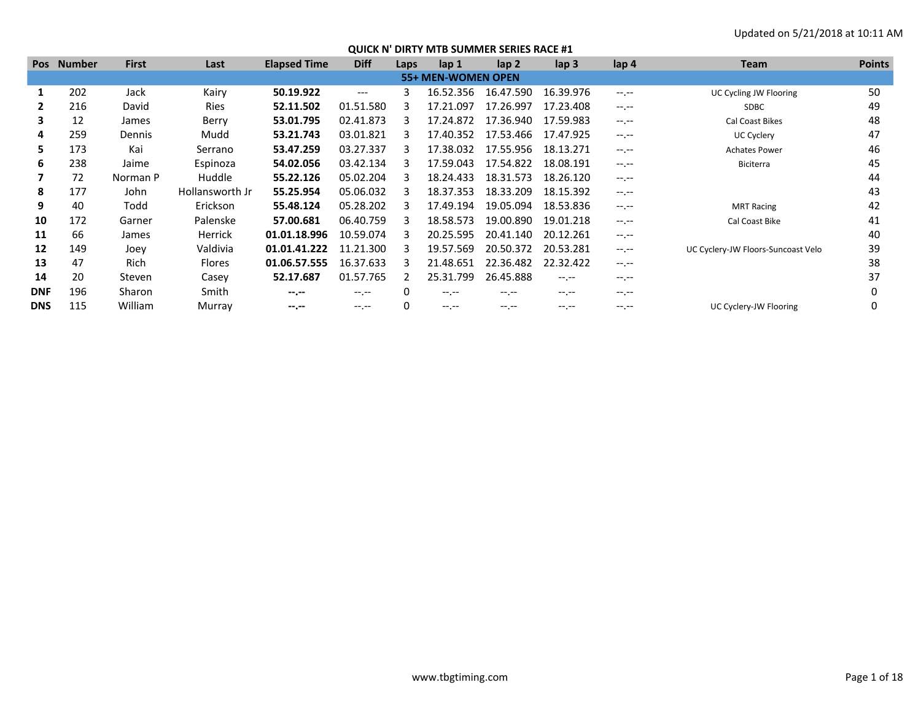| <b>Pos</b> | <b>Number</b> | <b>First</b> | Last            | <b>Elapsed Time</b> | <b>Diff</b> | Laps | lap <sub>1</sub>   | lap <sub>2</sub> | lap <sub>3</sub> | lap 4            | <b>Team</b>                        | <b>Points</b> |
|------------|---------------|--------------|-----------------|---------------------|-------------|------|--------------------|------------------|------------------|------------------|------------------------------------|---------------|
|            |               |              |                 |                     |             |      | 55+ MEN-WOMEN OPEN |                  |                  |                  |                                    |               |
|            | 202           | Jack         | Kairy           | 50.19.922           | ---         | 3    | 16.52.356          | 16.47.590        | 16.39.976        | $-1$ , $-1$      | UC Cycling JW Flooring             | 50            |
|            | 216           | David        | Ries            | 52.11.502           | 01.51.580   |      | 17.21.097          | 17.26.997        | 17.23.408        | $-1$ , $-1$      | <b>SDBC</b>                        | 49            |
| 3          | 12            | James        | Berry           | 53.01.795           | 02.41.873   |      | 17.24.872          | 17.36.940        | 17.59.983        | $-1 - 1 - 1 = 0$ | Cal Coast Bikes                    | 48            |
| 4          | 259           | Dennis       | Mudd            | 53.21.743           | 03.01.821   |      | 17.40.352          | 17.53.466        | 17.47.925        | $-1 - 1 - 1 = 0$ | UC Cyclery                         | 47            |
| 5.         | 173           | Kai          | Serrano         | 53.47.259           | 03.27.337   |      | 17.38.032          | 17.55.956        | 18.13.271        | $-1 - 1 - 1 = 0$ | <b>Achates Power</b>               | 46            |
| 6          | 238           | Jaime        | Espinoza        | 54.02.056           | 03.42.134   |      | 17.59.043          | 17.54.822        | 18.08.191        | $-1 - 1 - 1 = 0$ | Biciterra                          | 45            |
|            | 72            | Norman P     | Huddle          | 55.22.126           | 05.02.204   |      | 18.24.433          | 18.31.573        | 18.26.120        | $--- - - -$      |                                    | 44            |
| 8          | 177           | John         | Hollansworth Jr | 55.25.954           | 05.06.032   |      | 18.37.353          | 18.33.209        | 18.15.392        | $-1$ , $-1$      |                                    | 43            |
| 9          | 40            | Todd         | Erickson        | 55.48.124           | 05.28.202   |      | 17.49.194          | 19.05.094        | 18.53.836        | $-1 - 1 - 1 = 0$ | <b>MRT Racing</b>                  | 42            |
| 10         | 172           | Garner       | Palenske        | 57.00.681           | 06.40.759   |      | 18.58.573          | 19.00.890        | 19.01.218        | $-1 - 1 - 1 = 0$ | Cal Coast Bike                     | 41            |
| 11         | 66            | James        | <b>Herrick</b>  | 01.01.18.996        | 10.59.074   |      | 20.25.595          | 20.41.140        | 20.12.261        | $-1 - 1 - 1 = 0$ |                                    | 40            |
| 12         | 149           | Joev         | Valdivia        | 01.01.41.222        | 11.21.300   |      | 19.57.569          | 20.50.372        | 20.53.281        | $-1. - -$        | UC Cyclery-JW Floors-Suncoast Velo | 39            |
| 13         | 47            | Rich         | <b>Flores</b>   | 01.06.57.555        | 16.37.633   |      | 21.48.651          | 22.36.482        | 22.32.422        | $-1 - 1 - 1 = 0$ |                                    | 38            |
| 14         | 20            | Steven       | Casey           | 52.17.687           | 01.57.765   |      | 25.31.799          | 26.45.888        | $-1 - 1 - 1 = 0$ | $-1 - 1 - 1 = 0$ |                                    | 37            |
| <b>DNF</b> | 196           | Sharon       | Smith           | $- - - - -$         | $- - - - -$ |      |                    | -- --            |                  | $-1 - 1 - 1 = 0$ |                                    |               |
| <b>DNS</b> | 115           | William      | Murray          | $-1, -1$            | $-1$ , $-1$ |      |                    |                  |                  | $-1 - 1 - 1 = 0$ | UC Cyclery-JW Flooring             |               |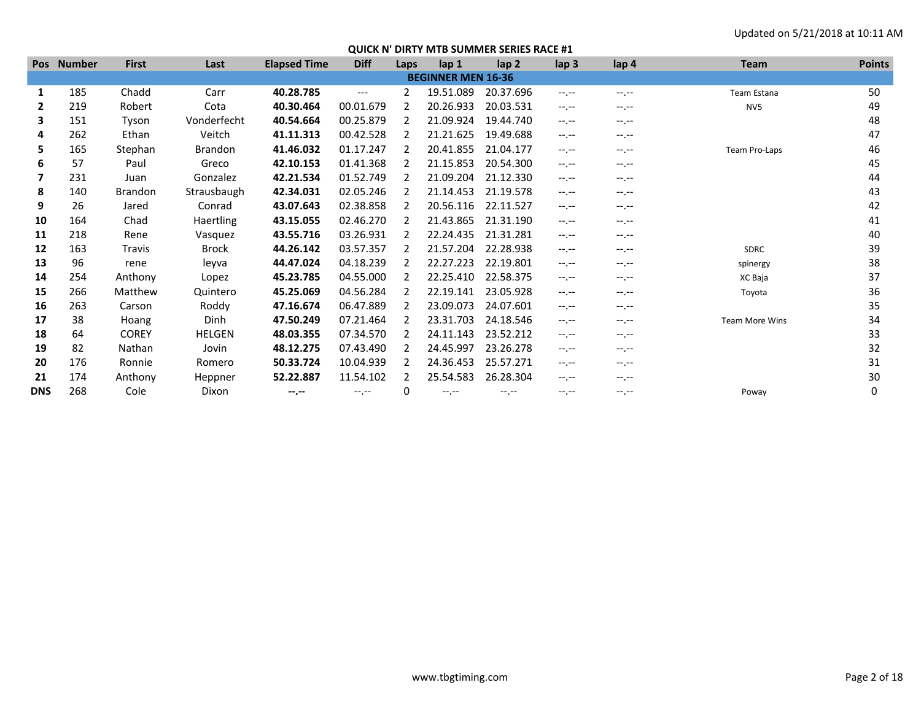|              | Pos Number | <b>First</b>   | Last           | <b>Elapsed Time</b> | <b>Diff</b> | Laps          | lap 1                     | lap <sub>2</sub> | lap <sub>3</sub> | lap 4            | <b>Team</b>           | <b>Points</b> |
|--------------|------------|----------------|----------------|---------------------|-------------|---------------|---------------------------|------------------|------------------|------------------|-----------------------|---------------|
|              |            |                |                |                     |             |               | <b>BEGINNER MEN 16-36</b> |                  |                  |                  |                       |               |
| 1            | 185        | Chadd          | Carr           | 40.28.785           | $---$       | 2             | 19.51.089                 | 20.37.696        | $-1$ , $-1$      | $-1$ , $-1$      | Team Estana           | 50            |
| $\mathbf{2}$ | 219        | Robert         | Cota           | 40.30.464           | 00.01.679   | 2             | 20.26.933                 | 20.03.531        | $-1.1 -$         | $-1.1$           | NV <sub>5</sub>       | 49            |
| 3            | 151        | Tyson          | Vonderfecht    | 40.54.664           | 00.25.879   |               | 21.09.924                 | 19.44.740        | $-1.1 -$         | $-1.1 -$         |                       | 48            |
| 4            | 262        | Ethan          | Veitch         | 41.11.313           | 00.42.528   | $\mathcal{L}$ | 21.21.625                 | 19.49.688        | $-1.1 -$         | $-1.1$           |                       | 47            |
| 5            | 165        | Stephan        | <b>Brandon</b> | 41.46.032           | 01.17.247   | 2             | 20.41.855                 | 21.04.177        | $-1.1 -$         | $-1.1 -$         | Team Pro-Laps         | 46            |
| 6            | 57         | Paul           | Greco          | 42.10.153           | 01.41.368   |               | 21.15.853                 | 20.54.300        | $-1.1 -$         | $-1.1 -$         |                       | 45            |
| 7            | 231        | Juan           | Gonzalez       | 42.21.534           | 01.52.749   |               | 21.09.204                 | 21.12.330        | $-1.1 -$         | $-1.1$           |                       | 44            |
| 8            | 140        | <b>Brandon</b> | Strausbaugh    | 42.34.031           | 02.05.246   |               | 21.14.453                 | 21.19.578        | $-1.1 -$         | $-1.1$           |                       | 43            |
| 9            | 26         | Jared          | Conrad         | 43.07.643           | 02.38.858   |               | 20.56.116                 | 22.11.527        | $-1.1 -$         | $-1.1 -$         |                       | 42            |
| 10           | 164        | Chad           | Haertling      | 43.15.055           | 02.46.270   |               | 21.43.865                 | 21.31.190        | $-1.1 -$         | $-1.1 -$         |                       | 41            |
| 11           | 218        | Rene           | Vasquez        | 43.55.716           | 03.26.931   |               | 22.24.435                 | 21.31.281        | $-1.1$           | $-1.1$           |                       | 40            |
| 12           | 163        | Travis         | Brock          | 44.26.142           | 03.57.357   |               | 21.57.204                 | 22.28.938        | $-1.1 -$         | $-1.1 -$         | SDRC                  | 39            |
| 13           | 96         | rene           | leyva          | 44.47.024           | 04.18.239   |               | 22.27.223                 | 22.19.801        | $-1$ , $-1$      | $-1$ , $-1$      | spinergy              | 38            |
| 14           | 254        | Anthony        | Lopez          | 45.23.785           | 04.55.000   |               | 22.25.410                 | 22.58.375        | $-1.1 -$         | $-1. -1$         | XC Baja               | 37            |
| 15           | 266        | Matthew        | Quintero       | 45.25.069           | 04.56.284   | $\mathcal{P}$ | 22.19.141                 | 23.05.928        | $-1.1 -$         | $-1.1 -$         | Toyota                | 36            |
| 16           | 263        | Carson         | Roddy          | 47.16.674           | 06.47.889   | $\mathcal{P}$ | 23.09.073                 | 24.07.601        | $-1$ , $-1$      | $-1$ , $-1$      |                       | 35            |
| 17           | 38         | Hoang          | <b>Dinh</b>    | 47.50.249           | 07.21.464   | $\mathcal{P}$ | 23.31.703                 | 24.18.546        | $-1$ , $-1$      | $-1 - 1 - 1 = 0$ | <b>Team More Wins</b> | 34            |
| 18           | 64         | <b>COREY</b>   | HELGEN         | 48.03.355           | 07.34.570   |               | 24.11.143                 | 23.52.212        | $-1$ , $-1$      | $-1 - 1 - 1 = 0$ |                       | 33            |
| 19           | 82         | Nathan         | Jovin          | 48.12.275           | 07.43.490   |               | 24.45.997                 | 23.26.278        | $-1$ , $-1$      | $-1$ , $-1$      |                       | 32            |
| 20           | 176        | Ronnie         | Romero         | 50.33.724           | 10.04.939   |               | 24.36.453                 | 25.57.271        | $-1.1 -$         | $-1.1$           |                       | 31            |
| 21           | 174        | Anthony        | Heppner        | 52.22.887           | 11.54.102   |               | 25.54.583                 | 26.28.304        | $-1.1 -$         | $-1$ , $-1$      |                       | 30            |
| <b>DNS</b>   | 268        | Cole           | Dixon          | $-1$ , $-1$         | $-1$ , $-1$ | 0             | $-1$ , $-1$               | --.--            | $-1$ . $-1$      | --.--            | Poway                 |               |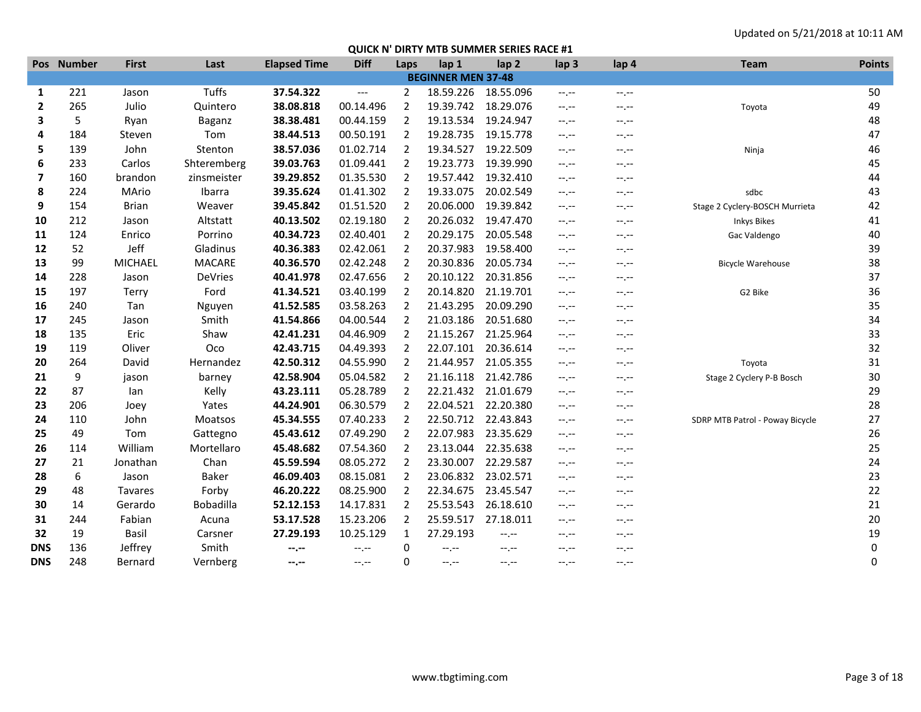|                   | Pos Number | <b>First</b> | Last           | <b>Elapsed Time</b> | <b>Diff</b> | Laps           | lap 1                     | lap <sub>2</sub> | lap <sub>3</sub> | lap 4            | <b>Team</b>                     | <b>Points</b> |
|-------------------|------------|--------------|----------------|---------------------|-------------|----------------|---------------------------|------------------|------------------|------------------|---------------------------------|---------------|
|                   |            |              |                |                     |             |                | <b>BEGINNER MEN 37-48</b> |                  |                  |                  |                                 |               |
| 1                 | 221        | Jason        | Tuffs          | 37.54.322           | $---$       | $\overline{2}$ | 18.59.226                 | 18.55.096        | $-1$ , $-1$      | $-1 - 1 - 1 = 0$ |                                 | 50            |
| 2                 | 265        | Julio        | Quintero       | 38.08.818           | 00.14.496   | $\overline{2}$ | 19.39.742                 | 18.29.076        | $-1, -1$         | $-1, -1$         | Toyota                          | 49            |
| 3                 | 5          | Ryan         | Baganz         | 38.38.481           | 00.44.159   | 2              | 19.13.534                 | 19.24.947        | $-1 - 1 - 1 = 0$ | $-1 - 1 - 1 = 0$ |                                 | 48            |
| 4                 | 184        | Steven       | Tom            | 38.44.513           | 00.50.191   | $\overline{2}$ | 19.28.735                 | 19.15.778        | $-1, -1$         | $-1, -1$         |                                 | 47            |
| 5                 | 139        | John         | Stenton        | 38.57.036           | 01.02.714   | 2              | 19.34.527                 | 19.22.509        | $-1$ , $-1$      | $-1$ . $-1$      | Ninja                           | 46            |
| 6                 | 233        | Carlos       | Shteremberg    | 39.03.763           | 01.09.441   | $\overline{2}$ | 19.23.773                 | 19.39.990        | $-1 - 1 - 1 = 0$ | $-1, -1$         |                                 | 45            |
| 7                 | 160        | brandon      | zinsmeister    | 39.29.852           | 01.35.530   | $\overline{2}$ | 19.57.442                 | 19.32.410        | $-1, -1$         | $-1, -1$         |                                 | 44            |
| 8                 | 224        | MArio        | Ibarra         | 39.35.624           | 01.41.302   | $\overline{2}$ | 19.33.075                 | 20.02.549        | $-1, -1$         | $-1, -1$         | sdbc                            | 43            |
| 9                 | 154        | <b>Brian</b> | Weaver         | 39.45.842           | 01.51.520   | $\overline{2}$ | 20.06.000                 | 19.39.842        | $-1, -1$         | $-1$ . $-1$      | Stage 2 Cyclery-BOSCH Murrieta  | 42            |
| 10                | 212        | Jason        | Altstatt       | 40.13.502           | 02.19.180   | $\overline{2}$ | 20.26.032                 | 19.47.470        | $-1, -1$         | $-1, -1$         | <b>Inkys Bikes</b>              | 41            |
| 11                | 124        | Enrico       | Porrino        | 40.34.723           | 02.40.401   | $\overline{2}$ | 20.29.175                 | 20.05.548        | $-1, -1$         | $-1, -1$         | Gac Valdengo                    | 40            |
| $12 \overline{ }$ | 52         | Jeff         | Gladinus       | 40.36.383           | 02.42.061   | $\overline{2}$ | 20.37.983                 | 19.58.400        | $-1$ , $-1$      | $-1$ , $-1$      |                                 | 39            |
| 13                | 99         | MICHAEL      | <b>MACARE</b>  | 40.36.570           | 02.42.248   | $\overline{2}$ | 20.30.836                 | 20.05.734        | $-1, -1$         | $-1, -1$         | <b>Bicycle Warehouse</b>        | 38            |
| 14                | 228        | Jason        | <b>DeVries</b> | 40.41.978           | 02.47.656   | 2              | 20.10.122                 | 20.31.856        | $-1$ , $-1$      | $-1$ , $-1$      |                                 | 37            |
| 15                | 197        | Terry        | Ford           | 41.34.521           | 03.40.199   | $\overline{2}$ | 20.14.820                 | 21.19.701        | $-1, -1$         | $-1, -1$         | G2 Bike                         | 36            |
| 16                | 240        | Tan          | Nguyen         | 41.52.585           | 03.58.263   | $\overline{2}$ | 21.43.295                 | 20.09.290        | $-1, -1$         | $-1, -1$         |                                 | 35            |
| 17                | 245        | Jason        | Smith          | 41.54.866           | 04.00.544   | $\overline{2}$ | 21.03.186                 | 20.51.680        | $-1$ , $-1$      | $-1 - 1 - 1 = 0$ |                                 | 34            |
| 18                | 135        | Eric         | Shaw           | 42.41.231           | 04.46.909   | $\overline{2}$ | 21.15.267                 | 21.25.964        | $-1, -1$         | $-1, -1$         |                                 | 33            |
| 19                | 119        | Oliver       | Oco            | 42.43.715           | 04.49.393   | 2              | 22.07.101                 | 20.36.614        | $--, --$         | $-1 - 1 - 1 = 0$ |                                 | 32            |
| 20                | 264        | David        | Hernandez      | 42.50.312           | 04.55.990   | 2              | 21.44.957                 | 21.05.355        | $-1$ , $-1$      | $-1, -1$         | Toyota                          | 31            |
| 21                | 9          | jason        | barney         | 42.58.904           | 05.04.582   | 2              | 21.16.118                 | 21.42.786        | $-1, -1$         | $-1$ , $-1$      | Stage 2 Cyclery P-B Bosch       | 30            |
| 22                | 87         | lan          | Kelly          | 43.23.111           | 05.28.789   | 2              | 22.21.432                 | 21.01.679        | $-1$ , $-1$      | $-1$ , $-1$      |                                 | 29            |
| 23                | 206        | Joey         | Yates          | 44.24.901           | 06.30.579   | 2              | 22.04.521                 | 22.20.380        | $-1$ , $-1$      | $-1 - 1 - 1 = 0$ |                                 | 28            |
| 24                | 110        | John         | Moatsos        | 45.34.555           | 07.40.233   | $\overline{2}$ | 22.50.712 22.43.843       |                  | $-1, -1$         | $-1$ , $-1$      | SDRP MTB Patrol - Poway Bicycle | 27            |
| 25                | 49         | Tom          | Gattegno       | 45.43.612           | 07.49.290   | $\overline{2}$ | 22.07.983                 | 23.35.629        | $-1, -1$         | $-1, -1$         |                                 | 26            |
| 26                | 114        | William      | Mortellaro     | 45.48.682           | 07.54.360   | 2              | 23.13.044                 | 22.35.638        | $-1$ , $-1$      | $-1 - 1 - 1 = 0$ |                                 | 25            |
| 27                | 21         | Jonathan     | Chan           | 45.59.594           | 08.05.272   | $\overline{2}$ | 23.30.007                 | 22.29.587        | $-1, -1$         | $-1, -1$         |                                 | 24            |
| 28                | 6          | Jason        | <b>Baker</b>   | 46.09.403           | 08.15.081   | $\overline{2}$ | 23.06.832                 | 23.02.571        | $-1$ , $-1$      | $-1, -1$         |                                 | 23            |
| 29                | 48         | Tavares      | Forby          | 46.20.222           | 08.25.900   | $\overline{2}$ | 22.34.675                 | 23.45.547        | $-1, -1$         | $-1, -1$         |                                 | 22            |
| 30                | 14         | Gerardo      | Bobadilla      | 52.12.153           | 14.17.831   | 2              | 25.53.543                 | 26.18.610        | $-1, -1$         | $-1. - -$        |                                 | 21            |
| 31                | 244        | Fabian       | Acuna          | 53.17.528           | 15.23.206   | $\overline{2}$ | 25.59.517                 | 27.18.011        | $-1, -1$         | $-1, -1$         |                                 | 20            |
| 32                | 19         | Basil        | Carsner        | 27.29.193           | 10.25.129   | 1              | 27.29.193                 | $-1, -1$         | $-1, -1$         | $-1 - 1 - 1 = 0$ |                                 | 19            |
| <b>DNS</b>        | 136        | Jeffrey      | Smith          | $-1 - 1 - 1 = 0$    | $-1, -1$    | 0              | $-1 - 1 - 1 = 0$          | $-1, -1$         | $-1 - 1 - 1 = 0$ | $-1$ , $-1$      |                                 | 0             |
| <b>DNS</b>        | 248        | Bernard      | Vernberg       | --.--               | $-1$ , $-1$ | 0              | $-1$ , $-1$               | $-1 - 1 - 1 = 0$ | $-1$ , $-1$      | $-1$ , $-1$      |                                 | 0             |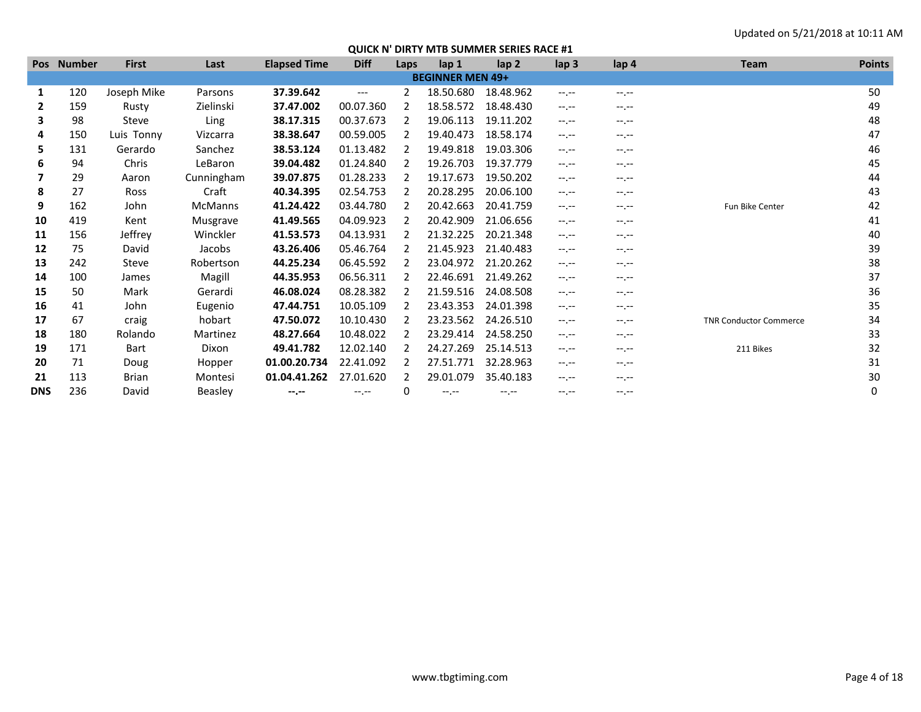|            | Pos Number | <b>First</b> | Last           | <b>Elapsed Time</b> | <b>Diff</b> | Laps          | lap 1                   | lap <sub>2</sub> | lap <sub>3</sub> | lap 4        | Team                          | <b>Points</b> |
|------------|------------|--------------|----------------|---------------------|-------------|---------------|-------------------------|------------------|------------------|--------------|-------------------------------|---------------|
|            |            |              |                |                     |             |               | <b>BEGINNER MEN 49+</b> |                  |                  |              |                               |               |
| 1          | 120        | Joseph Mike  | Parsons        | 37.39.642           | $---$       | 2             | 18.50.680               | 18.48.962        | $-1$ , $-1$      | $-1$ , $-1$  |                               | 50            |
| 2          | 159        | Rusty        | Zielinski      | 37.47.002           | 00.07.360   |               | 18.58.572               | 18.48.430        | $-1$ , $-1$      | $-1$ , $-1$  |                               | 49            |
| 3          | 98         | Steve        | Ling           | 38.17.315           | 00.37.673   |               | 19.06.113               | 19.11.202        | $-1 - 1 - 1 = 0$ | $-1$ , $-1$  |                               | 48            |
| 4          | 150        | Luis Tonny   | Vizcarra       | 38.38.647           | 00.59.005   | $\mathcal{P}$ | 19.40.473               | 18.58.174        | $-1 - 1 - 1 = 0$ | $-1$ , $-1$  |                               | 47            |
| 5          | 131        | Gerardo      | Sanchez        | 38.53.124           | 01.13.482   | 2             | 19.49.818               | 19.03.306        | $-1$ , $-1$      | $-1$ , $-1$  |                               | 46            |
| 6          | 94         | Chris        | LeBaron        | 39.04.482           | 01.24.840   | 2             | 19.26.703               | 19.37.779        | $-1$ , $-1$      | $-1$ , $-1$  |                               | 45            |
|            | 29         | Aaron        | Cunningham     | 39.07.875           | 01.28.233   |               | 19.17.673               | 19.50.202        | $-1$ , $-1$      | $-1$ , $-1$  |                               | 44            |
| 8          | 27         | <b>Ross</b>  | Craft          | 40.34.395           | 02.54.753   |               | 20.28.295               | 20.06.100        | $-1$ , $-1$      | $-1. - -$    |                               | 43            |
| 9          | 162        | John         | <b>McManns</b> | 41.24.422           | 03.44.780   |               | 20.42.663               | 20.41.759        | $-1.1 -$         | $-1.1 -$     | Fun Bike Center               | 42            |
| 10         | 419        | Kent         | Musgrave       | 41.49.565           | 04.09.923   |               | 20.42.909               | 21.06.656        | $-1.1 -$         | $-1. - -$    |                               | 41            |
| 11         | 156        | Jeffrey      | Winckler       | 41.53.573           | 04.13.931   |               | 21.32.225               | 20.21.348        | $-1.1 - 1.0$     | $-1.1 - 1.0$ |                               | 40            |
| 12         | 75         | David        | Jacobs         | 43.26.406           | 05.46.764   |               | 21.45.923               | 21.40.483        | $-1$ , $-1$      | $-1.1 -$     |                               | 39            |
| 13         | 242        | Steve        | Robertson      | 44.25.234           | 06.45.592   |               | 23.04.972               | 21.20.262        | $-1.1 - 1.0$     | $-1. - -$    |                               | 38            |
| 14         | 100        | James        | Magill         | 44.35.953           | 06.56.311   |               | 22.46.691               | 21.49.262        | $-1$ , $-1$      | $-1.1 -$     |                               | 37            |
| 15         | 50         | Mark         | Gerardi        | 46.08.024           | 08.28.382   | 2             | 21.59.516               | 24.08.508        | $-1.1 - 1.0$     | $-1, -1$     |                               | 36            |
| 16         | 41         | John         | Eugenio        | 47.44.751           | 10.05.109   |               | 23.43.353               | 24.01.398        | $-1$ , $-1$      | $-1$ , $-1$  |                               | 35            |
| 17         | 67         | craig        | hobart         | 47.50.072           | 10.10.430   |               | 23.23.562               | 24.26.510        | $-1$ , $-1$      | $-1$ , $-1$  | <b>TNR Conductor Commerce</b> | 34            |
| 18         | 180        | Rolando      | Martinez       | 48.27.664           | 10.48.022   |               | 23.29.414               | 24.58.250        | $-1.1 - 1.0$     | $-1.1 -$     |                               | 33            |
| 19         | 171        | Bart         | Dixon          | 49.41.782           | 12.02.140   |               | 24.27.269               | 25.14.513        | $-1.1 -$         | $-1. - -$    | 211 Bikes                     | 32            |
| 20         | 71         | Doug         | Hopper         | 01.00.20.734        | 22.41.092   |               | 27.51.771               | 32.28.963        | $-1.1 -$         | $-1.1 -$     |                               | 31            |
| 21         | 113        | Brian        | Montesi        | 01.04.41.262        | 27.01.620   |               | 29.01.079               | 35.40.183        | $-1$ , $-1$      | $-1$ , $-1$  |                               | 30            |
| <b>DNS</b> | 236        | David        | <b>Beasley</b> | $-1 - 1 - 1 = 0$    | $-1$ , $-1$ | 0             | $-1$ , $-1$             | $-1$ , $-1$      | $-1$ , $-1$      | $-1$ , $-1$  |                               | 0             |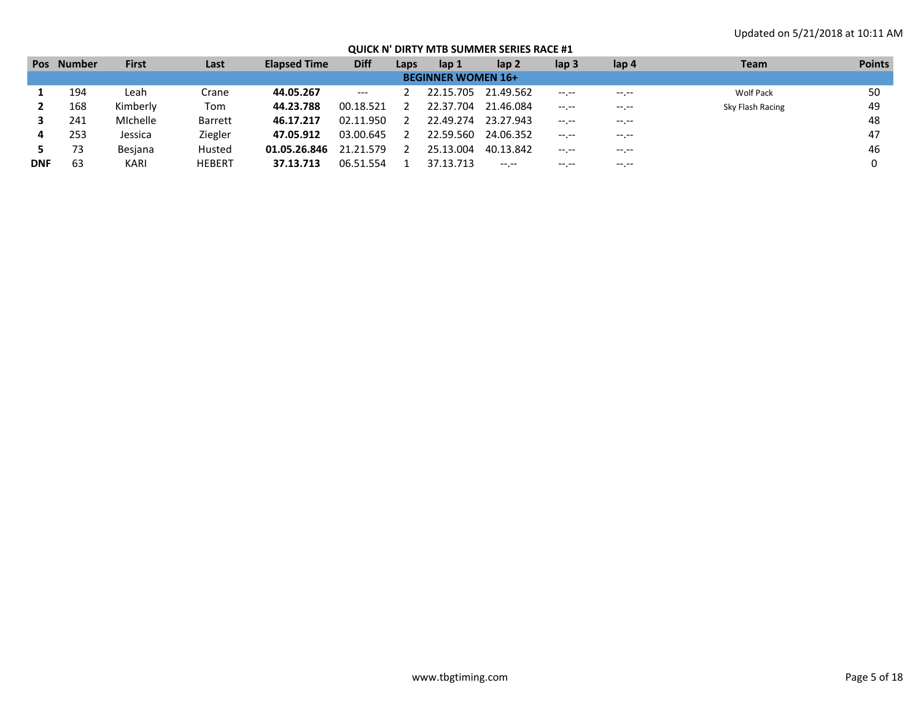|            | <b>Pos</b> Number | <b>First</b> | Last           | <b>Elapsed Time</b> | <b>Diff</b> | Laps | lap <sub>1</sub>          | lap 2               | $\mathsf{lap} 3$ | lap 4       | Team             | <b>Points</b> |
|------------|-------------------|--------------|----------------|---------------------|-------------|------|---------------------------|---------------------|------------------|-------------|------------------|---------------|
|            |                   |              |                |                     |             |      | <b>BEGINNER WOMEN 16+</b> |                     |                  |             |                  |               |
|            | 194               | Leah         | Crane          | 44.05.267           | $---$       |      |                           | 22.15.705 21.49.562 | $-1. - -$        | $---$       | Wolf Pack        | 50            |
|            | 168               | Kimberly     | Tom            | 44.23.788           | 00.18.521   |      | 22.37.704                 | 21.46.084           | $-1 - 1 - 1 = 0$ | $---$       | Sky Flash Racing | 49            |
|            | 241               | Michelle     | <b>Barrett</b> | 46.17.217           | 02.11.950   |      | 22.49.274                 | 23.27.943           | $-1$ , $-1$      | $---$       |                  | 48            |
| 4          | 253               | Jessica      | Ziegler        | 47.05.912           | 03.00.645   |      | 22.59.560                 | 24.06.352           | $-1$ , $-1$      | $- - - - -$ |                  | 47            |
|            | 73                | Besjana      | Husted         | 01.05.26.846        | 21.21.579   |      | 25.13.004                 | 40.13.842           | $-1$ , $-1$      | $-1$ . $-1$ |                  | 46            |
| <b>DNF</b> | 63                | KARI         | <b>HEBERT</b>  | 37.13.713           | 06.51.554   |      | 37.13.713                 | $-1. - -$           | $-1$ . $-1$      | $-1$ . $-1$ |                  |               |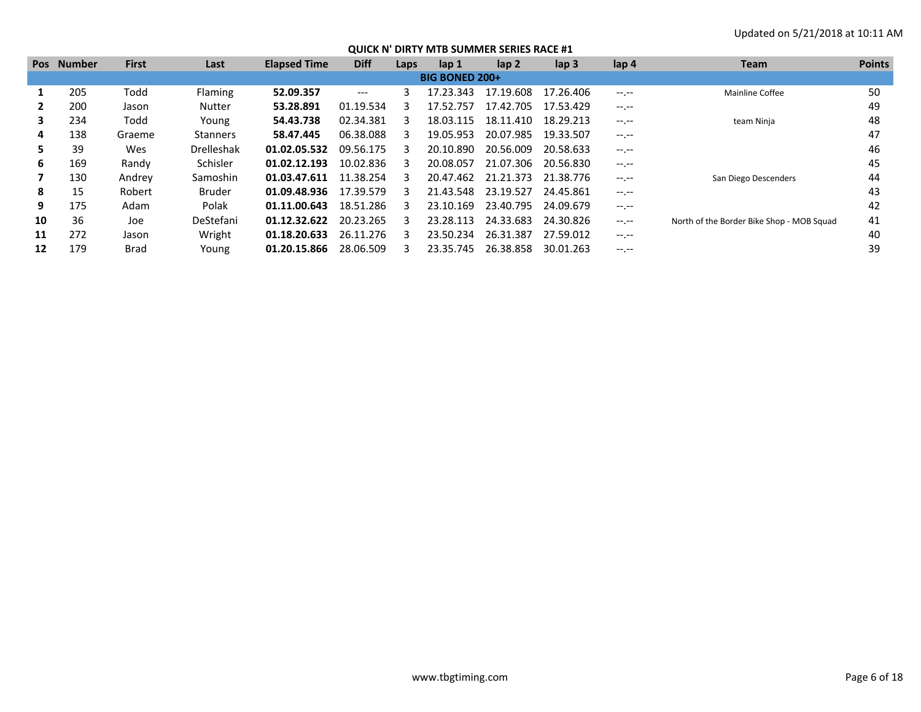|    | <b>Pos</b> Number | <b>First</b> | Last              | <b>Elapsed Time</b> | <b>Diff</b> | Laps | lap <sub>1</sub>      | $\mathsf{lap} 2$ | $\mathsf{lap} 3$ | lap 4            | <b>Team</b>                               | <b>Points</b> |
|----|-------------------|--------------|-------------------|---------------------|-------------|------|-----------------------|------------------|------------------|------------------|-------------------------------------------|---------------|
|    |                   |              |                   |                     |             |      | <b>BIG BONED 200+</b> |                  |                  |                  |                                           |               |
|    | 205               | Todd         | <b>Flaming</b>    | 52.09.357           | $---$       | 3    | 17.23.343             | 17.19.608        | 17.26.406        | $-1 - 1 - 1 = 0$ | <b>Mainline Coffee</b>                    | 50            |
|    | 200               | Jason        | <b>Nutter</b>     | 53.28.891           | 01.19.534   |      | 17.52.757             | 17.42.705        | 17.53.429        | $-1 - 1 - 1 = 0$ |                                           | 49            |
| 3. | 234               | Todd         | Young             | 54.43.738           | 02.34.381   | З    | 18.03.115             | 18.11.410        | 18.29.213        | $-1 - 1 - 1 = 0$ | team Ninja                                | 48            |
| 4  | 138               | Graeme       | <b>Stanners</b>   | 58.47.445           | 06.38.088   |      | 19.05.953             | 20.07.985        | 19.33.507        | $-1 - 1 - 1 = 0$ |                                           | 47            |
| ь. | 39                | Wes          | <b>Drelleshak</b> | 01.02.05.532        | 09.56.175   |      | 20.10.890             | 20.56.009        | 20.58.633        | $-1 - 1 - 1 = 0$ |                                           | 46            |
| 6  | 169               | Randy        | Schisler          | 01.02.12.193        | 10.02.836   | ₹    | 20.08.057             | 21.07.306        | 20.56.830        | $-1 - 1 - 1 = 0$ |                                           | 45            |
|    | 130               | Andrey       | Samoshin          | 01.03.47.611        | 11.38.254   |      | 20.47.462             | 21.21.373        | 21.38.776        |                  | San Diego Descenders                      | 44            |
| 8  | 15                | Robert       | <b>Bruder</b>     | 01.09.48.936        | 17.39.579   |      | 21.43.548             | 23.19.527        | 24.45.861        | $-1$ , $-1$      |                                           | 43            |
| 9  | 175               | Adam         | Polak             | 01.11.00.643        | 18.51.286   | ₹    | 23.10.169             | 23.40.795        | 24.09.679        | $-1 - 1 - 1 = 0$ |                                           | 42            |
| 10 | 36                | Joe          | DeStefani         | 01.12.32.622        | 20.23.265   |      | 23.28.113             | 24.33.683        | 24.30.826        | $-1 - 1 - 1 = 0$ | North of the Border Bike Shop - MOB Squad | 41            |
| 11 | 272               | Jason        | Wright            | 01.18.20.633        | 26.11.276   |      | 23.50.234             | 26.31.387        | 27.59.012        | $-1 - 1 - 1 = 0$ |                                           | 40            |
| 12 | 179               | <b>Brad</b>  | Young             | 01.20.15.866        | 28.06.509   |      | 23.35.745             | 26.38.858        | 30.01.263        | $-1. - -$        |                                           | 39            |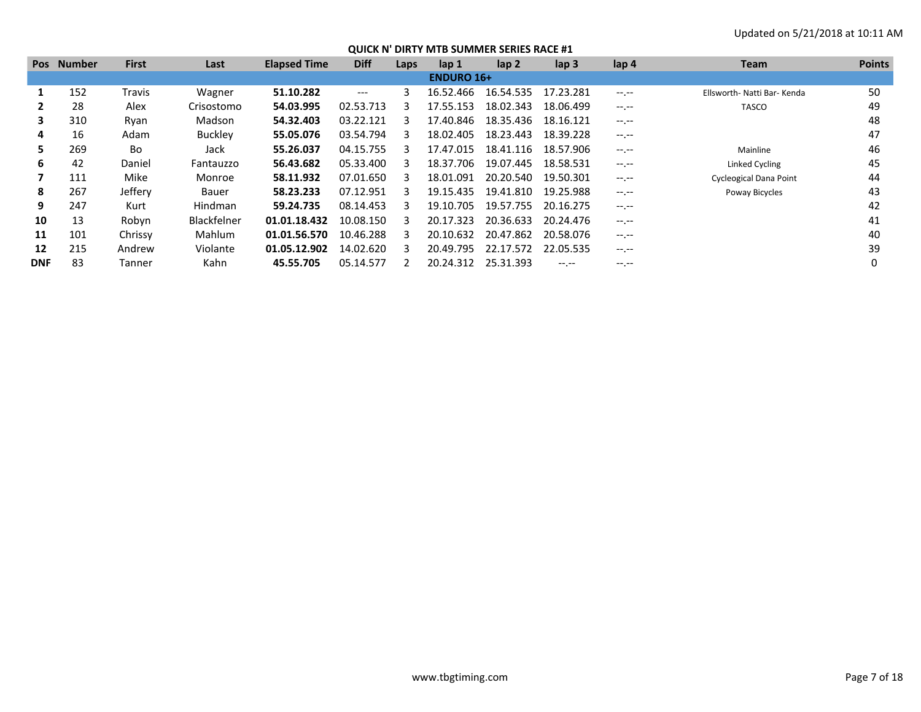| <b>Pos</b> | <b>Number</b> | <b>First</b> | Last           | <b>Elapsed Time</b> | <b>Diff</b> | Laps | lap 1             | $\mathsf{lap} 2$ | $\mathsf{lap} 3$ | lap 4       | <b>Team</b>                   | <b>Points</b> |
|------------|---------------|--------------|----------------|---------------------|-------------|------|-------------------|------------------|------------------|-------------|-------------------------------|---------------|
|            |               |              |                |                     |             |      | <b>ENDURO 16+</b> |                  |                  |             |                               |               |
|            | 152           | Travis       | Wagner         | 51.10.282           | ---         | 3    | 16.52.466         | 16.54.535        | 17.23.281        | $-1$ .      | Ellsworth- Natti Bar- Kenda   | 50            |
|            | 28            | Alex         | Crisostomo     | 54.03.995           | 02.53.713   | з    | 17.55.153         | 18.02.343        | 18.06.499        | $-1$ , $-1$ | <b>TASCO</b>                  | 49            |
| 3          | 310           | Ryan         | Madson         | 54.32.403           | 03.22.121   |      | 17.40.846         | 18.35.436        | 18.16.121        | $-1$ , $-1$ |                               | 48            |
| 4          | 16            | Adam         | <b>Buckley</b> | 55.05.076           | 03.54.794   | ર    | 18.02.405         | 18.23.443        | 18.39.228        | $-1$ , $-1$ |                               | 47            |
| 5.         | 269           | Bo           | Jack           | 55.26.037           | 04.15.755   | ₹    | 17.47.015         | 18.41.116        | 18.57.906        | $-1$ , $-1$ | Mainline                      | 46            |
| 6          | 42            | Daniel       | Fantauzzo      | 56.43.682           | 05.33.400   | ર    | 18.37.706         | 19.07.445        | 18.58.531        | $-1$ , $-1$ | Linked Cycling                | 45            |
|            | 111           | Mike         | Monroe         | 58.11.932           | 07.01.650   | ર    | 18.01.091         | 20.20.540        | 19.50.301        | $-1. -1$    | <b>Cycleogical Dana Point</b> | 44            |
| 8          | 267           | Jeffery      | Bauer          | 58.23.233           | 07.12.951   | ર    | 19.15.435         | 19.41.810        | 19.25.988        | $-1$ , $-1$ | Poway Bicycles                | 43            |
| 9          | 247           | Kurt         | Hindman        | 59.24.735           | 08.14.453   | ₹    | 19.10.705         | 19.57.755        | 20.16.275        | $-1$ , $-1$ |                               | 42            |
| 10         | 13            | Robyn        | Blackfelner    | 01.01.18.432        | 10.08.150   | з    | 20.17.323         | 20.36.633        | 20.24.476        | $-1$ , $-1$ |                               | 41            |
| 11         | 101           | Chrissy      | <b>Mahlum</b>  | 01.01.56.570        | 10.46.288   |      | 20.10.632         | 20.47.862        | 20.58.076        | $-1$ , $-1$ |                               | 40            |
| 12         | 215           | Andrew       | Violante       | 01.05.12.902        | 14.02.620   | ર    | 20.49.795         | 22.17.572        | 22.05.535        | $-1$ , $-1$ |                               | 39            |
| <b>DNF</b> | 83            | Tanner       | Kahn           | 45.55.705           | 05.14.577   |      | 20.24.312         | 25.31.393        |                  | -- --       |                               |               |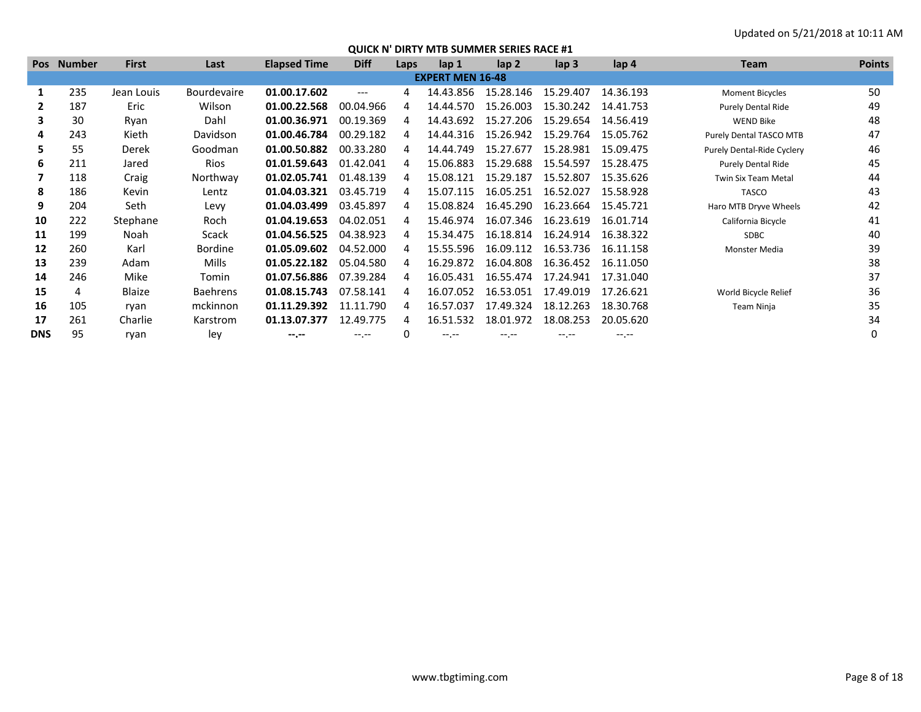| <b>Pos</b> | <b>Number</b> | <b>First</b> | Last               | <b>Elapsed Time</b> | <b>Diff</b> | Laps | lap <sub>1</sub>        | lap <sub>2</sub> | lap <sub>3</sub> | lap 4     | <b>Team</b>                    | <b>Points</b> |
|------------|---------------|--------------|--------------------|---------------------|-------------|------|-------------------------|------------------|------------------|-----------|--------------------------------|---------------|
|            |               |              |                    |                     |             |      | <b>EXPERT MEN 16-48</b> |                  |                  |           |                                |               |
| 1          | 235           | Jean Louis   | <b>Bourdevaire</b> | 01.00.17.602        | ---         | 4    | 14.43.856               | 15.28.146        | 15.29.407        | 14.36.193 | <b>Moment Bicycles</b>         | 50            |
|            | 187           | Eric         | Wilson             | 01.00.22.568        | 00.04.966   | 4    | 14.44.570               | 15.26.003        | 15.30.242        | 14.41.753 | <b>Purely Dental Ride</b>      | 49            |
|            | 30            | Ryan         | Dahl               | 01.00.36.971        | 00.19.369   | 4    | 14.43.692               | 15.27.206        | 15.29.654        | 14.56.419 | <b>WEND Bike</b>               | 48            |
| 4          | 243           | Kieth        | Davidson           | 01.00.46.784        | 00.29.182   | 4    | 14.44.316               | 15.26.942        | 15.29.764        | 15.05.762 | <b>Purely Dental TASCO MTB</b> | 47            |
| 5.         | 55            | Derek        | Goodman            | 01.00.50.882        | 00.33.280   |      | 14.44.749               | 15.27.677        | 15.28.981        | 15.09.475 | Purely Dental-Ride Cyclery     | 46            |
| 6          | 211           | Jared        | Rios               | 01.01.59.643        | 01.42.041   |      | 15.06.883               | 15.29.688        | 15.54.597        | 15.28.475 | <b>Purely Dental Ride</b>      | 45            |
|            | 118           | Craig        | Northway           | 01.02.05.741        | 01.48.139   | 4    | 15.08.121               | 15.29.187        | 15.52.807        | 15.35.626 | <b>Twin Six Team Metal</b>     | 44            |
| 8          | 186           | Kevin        | Lentz              | 01.04.03.321        | 03.45.719   |      | 15.07.115               | 16.05.251        | 16.52.027        | 15.58.928 | <b>TASCO</b>                   | 43            |
| 9          | 204           | Seth         | Levy               | 01.04.03.499        | 03.45.897   | 4    | 15.08.824               | 16.45.290        | 16.23.664        | 15.45.721 | Haro MTB Dryve Wheels          | 42            |
| 10         | 222           | Stephane     | Roch               | 01.04.19.653        | 04.02.051   | 4    | 15.46.974               | 16.07.346        | 16.23.619        | 16.01.714 | California Bicycle             | 41            |
| 11         | 199           | Noah         | Scack              | 01.04.56.525        | 04.38.923   | Δ    | 15.34.475               | 16.18.814        | 16.24.914        | 16.38.322 | <b>SDBC</b>                    | 40            |
| 12         | 260           | Karl         | Bordine            | 01.05.09.602        | 04.52.000   |      | 15.55.596               | 16.09.112        | 16.53.736        | 16.11.158 | Monster Media                  | 39            |
| 13         | 239           | Adam         | <b>Mills</b>       | 01.05.22.182        | 05.04.580   |      | 16.29.872               | 16.04.808        | 16.36.452        | 16.11.050 |                                | 38            |
| 14         | 246           | Mike         | Tomin              | 01.07.56.886        | 07.39.284   | 4    | 16.05.431               | 16.55.474        | 17.24.941        | 17.31.040 |                                | 37            |
| 15         | 4             | Blaize       | <b>Baehrens</b>    | 01.08.15.743        | 07.58.141   |      | 16.07.052               | 16.53.051        | 17.49.019        | 17.26.621 | World Bicycle Relief           | 36            |
| 16         | 105           | ryan         | mckinnon           | 01.11.29.392        | 11.11.790   | 4    | 16.57.037               | 17.49.324        | 18.12.263        | 18.30.768 | Team Ninja                     | 35            |
| 17         | 261           | Charlie      | Karstrom           | 01.13.07.377        | 12.49.775   | 4    | 16.51.532               | 18.01.972        | 18.08.253        | 20.05.620 |                                | 34            |
| <b>DNS</b> | 95            | ryan         | ley                | $-2. - -$           | $-1$ , $-1$ | 0    | $-1$ , $-1$             | $-1$ .           | $-1. - -$        | $-1$      |                                |               |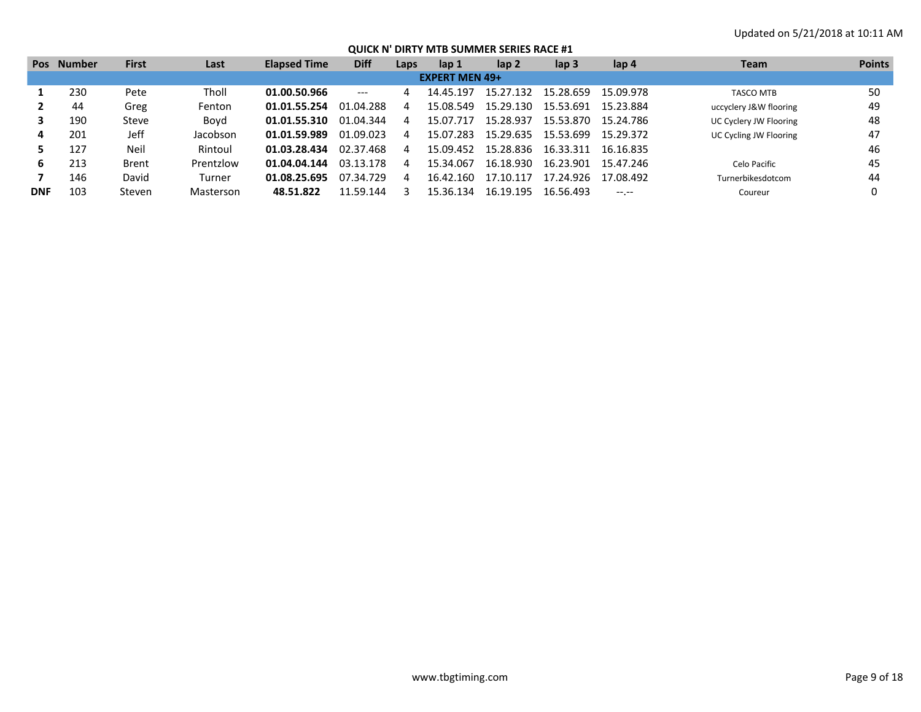|            | Pos Number | <b>First</b> | Last      | <b>Elapsed Time</b> | <b>Diff</b> | Laps | lap 1                 | lap 2     | lap <sub>3</sub> | lap 4            | Team                   | <b>Points</b> |
|------------|------------|--------------|-----------|---------------------|-------------|------|-----------------------|-----------|------------------|------------------|------------------------|---------------|
|            |            |              |           |                     |             |      | <b>EXPERT MEN 49+</b> |           |                  |                  |                        |               |
|            | 230        | Pete         | Tholl     | 01.00.50.966        | $---$       | 4    | 14.45.197             | 15.27.132 | 15.28.659        | 15.09.978        | <b>TASCO MTB</b>       | 50            |
|            | 44         | Greg         | Fenton    | 01.01.55.254        | 01.04.288   |      | 15.08.549             | 15.29.130 | 15.53.691        | 15.23.884        | uccyclery J&W flooring | 49            |
|            | 190        | Steve        | Bovd      | 01.01.55.310        | 01.04.344   | 4    | 15 07 717             | 15.28.937 | 15.53.870        | 15.24.786        | UC Cyclery JW Flooring | 48            |
| 4          | 201        | Jeff         | Jacobson  | 01.01.59.989        | 01.09.023   |      | 15.07.283             | 15.29.635 | 15.53.699        | 15.29.372        | UC Cycling JW Flooring | 47            |
|            | 127        | Neil         | Rintoul   | 01.03.28.434        | 02.37.468   |      | 15.09.452             | 15.28.836 | 16.33.311        | 16.16.835        |                        | 46            |
| 6          | 213        | Brent        | Prentzlow | 01.04.04.144        | 03.13.178   |      | 15.34.067             | 16.18.930 | 16.23.901        | 15.47.246        | Celo Pacific           | 45            |
|            | 146        | David        | Turner    | 01.08.25.695        | 07.34.729   | 4    | 16.42.160             | 17.10.117 | 17.24.926        | 17.08.492        | Turnerbikesdotcom      | 44            |
| <b>DNF</b> | 103        | Steven       | Masterson | 48.51.822           | 11.59.144   |      | 15.36.134             | 16.19.195 | 16.56.493        | $-1 - 1 - 1 = 0$ | Coureur                |               |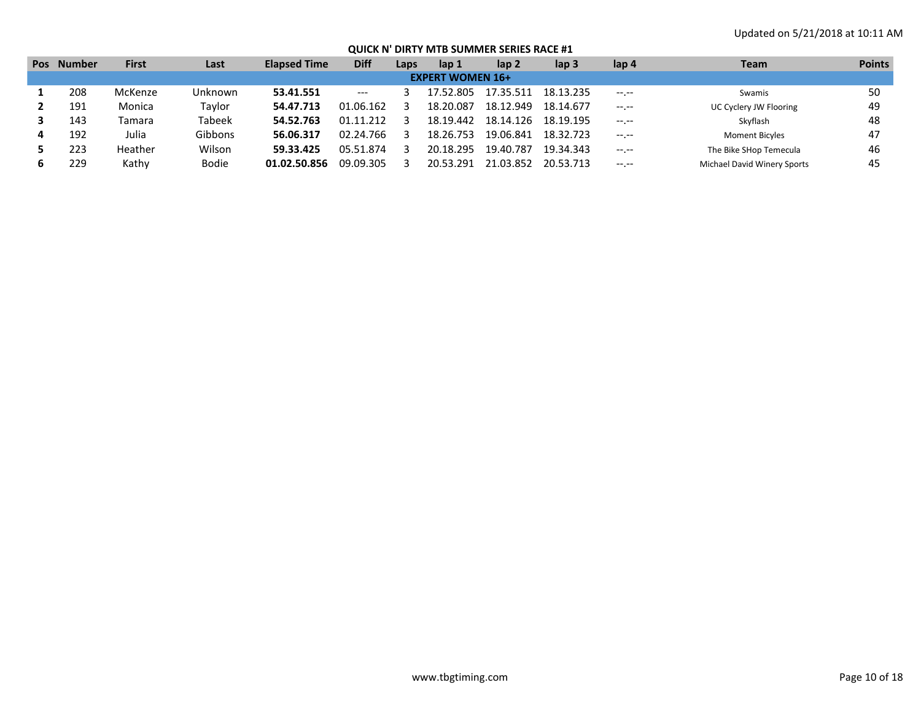| <b>Pos</b> | <b>Number</b> | <b>First</b> | Last          | <b>Elapsed Time</b> | <b>Diff</b>              | Laps | lap 1                   | lap <sub>2</sub> | lap 3     | lap 4            | Team                        | <b>Points</b> |
|------------|---------------|--------------|---------------|---------------------|--------------------------|------|-------------------------|------------------|-----------|------------------|-----------------------------|---------------|
|            |               |              |               |                     |                          |      | <b>EXPERT WOMEN 16+</b> |                  |           |                  |                             |               |
|            | 208           | McKenze      | Unknown       | 53.41.551           | $\hspace{0.05cm} \ldots$ |      | 17.52.805               | 17.35.511        | 18.13.235 | $-1 - 1 - 1 = 0$ | Swamis                      | 50            |
|            | 191           | Monica       | Taylor        | 54.47.713           | 01.06.162                |      | 18.20.087               | 18.12.949        | 18.14.677 | $-1 - 1 - 1 = 0$ | UC Cyclery JW Flooring      | 49            |
|            | 143           | Tamara       | <b>Tabeek</b> | 54.52.763           | 01.11.212                |      | 18.19.442               | 18.14.126        | 18.19.195 | $-1 - 1 - 1 = 0$ | Skyflash                    | 48            |
|            | 192           | Julia        | Gibbons       | 56.06.317           | 02.24.766                |      | 18.26.753               | 19.06.841        | 18.32.723 | $-1 - 1 - 1 = 0$ | <b>Moment Bicyles</b>       | 47            |
|            | 223           | Heather      | Wilson        | 59.33.425           | 05.51.874                |      | 20.18.295               | 19.40.787        | 19.34.343 | $-1 - 1 - 1 = 0$ | The Bike SHop Temecula      | 46            |
|            | 229           | Kathy        | <b>Bodie</b>  | 01.02.50.856        | 09.09.305                |      | 20.53.291               | 21.03.852        | 20.53.713 | $-1 - 1 - 1 = 0$ | Michael David Winery Sports | 45            |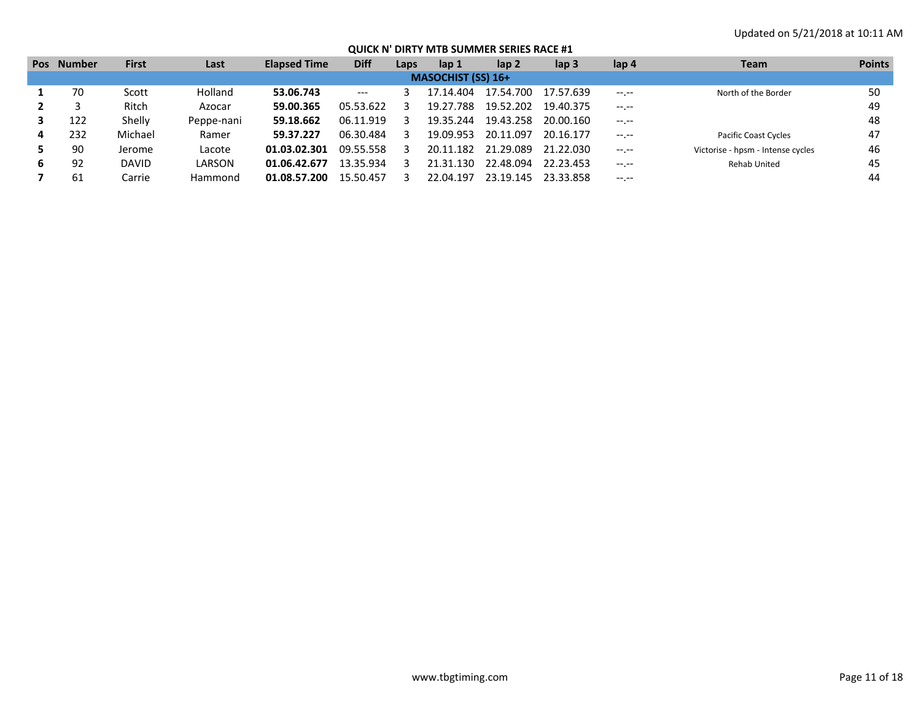| <b>Pos</b> | <b>Number</b> | <b>First</b> | Last       | <b>Elapsed Time</b> | <b>Diff</b> | Laps | lap 1                     | lap <sub>2</sub> | lap <sub>3</sub> | lap 4       | Team                              | <b>Points</b> |
|------------|---------------|--------------|------------|---------------------|-------------|------|---------------------------|------------------|------------------|-------------|-----------------------------------|---------------|
|            |               |              |            |                     |             |      | <b>MASOCHIST (SS) 16+</b> |                  |                  |             |                                   |               |
|            | 70            | Scott        | Holland    | 53.06.743           | $--$        |      | 17.14.404                 | 17.54.700        | 17.57.639        | $-1$ , $-1$ | North of the Border               | 50            |
|            |               | Ritch        | Azocar     | 59.00.365           | 05.53.622   |      | 19.27.788                 | 19.52.202        | 19.40.375        | $-1.1$      |                                   | 49            |
|            | 122           | Shelly       | Peppe-nani | 59.18.662           | 06.11.919   |      | 19.35.244                 | 19.43.258        | 20.00.160        | $-1.1$      |                                   | 48            |
| 4          | 232           | Michael      | Ramer      | 59.37.227           | 06.30.484   |      | 19.09.953                 | 20.11.097        | 20.16.177        | $-1.1$      | <b>Pacific Coast Cycles</b>       | 47            |
|            | 90            | Jerome       | Lacote     | 01.03.02.301        | 09.55.558   |      | 20.11.182                 | 21.29.089        | 21.22.030        | $-1$ , $-1$ | Victorise - hpsm - Intense cycles | 46            |
| 6          | 92            | <b>DAVID</b> | LARSON     | 01.06.42.677        | 13.35.934   |      | 21.31.130                 | 22.48.094        | 22.23.453        | $-1$ , $-1$ | <b>Rehab United</b>               | 45            |
|            | 61            | Carrie       | Hammond    | 01.08.57.200        | 15.50.457   |      | 22.04.197                 | 23.19.145        | 23.33.858        | $- - - - -$ |                                   | 44            |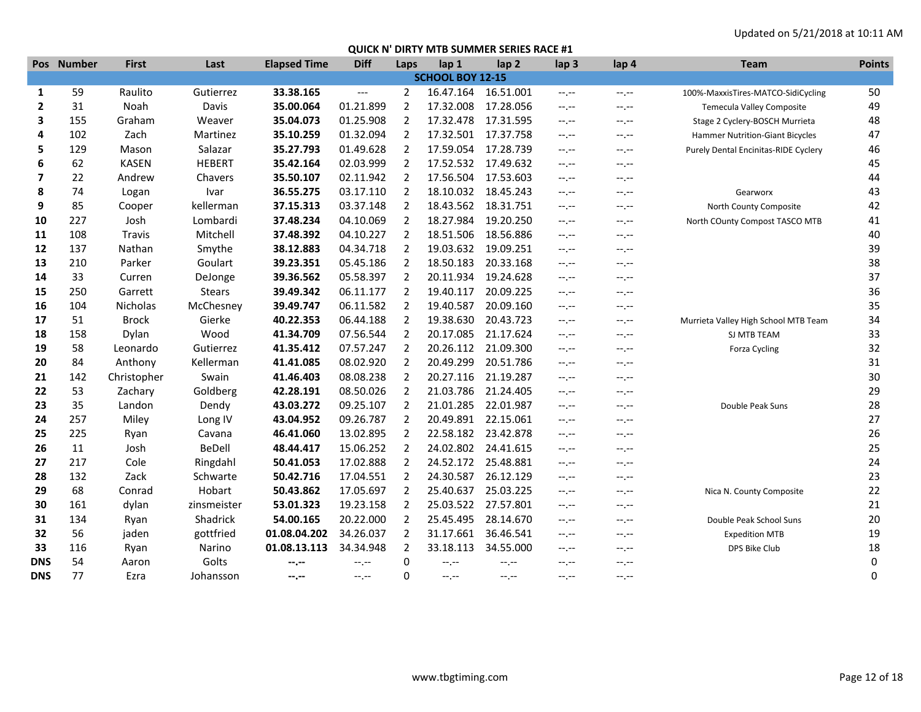|              | Pos Number | <b>First</b> | Last          | <b>Elapsed Time</b> | <b>Diff</b>              | Laps           | lap 1                   | lap <sub>2</sub>    | lap <sub>3</sub> | lap 4            | <b>Team</b>                          | <b>Points</b> |
|--------------|------------|--------------|---------------|---------------------|--------------------------|----------------|-------------------------|---------------------|------------------|------------------|--------------------------------------|---------------|
|              |            |              |               |                     |                          |                | <b>SCHOOL BOY 12-15</b> |                     |                  |                  |                                      |               |
| 1            | 59         | Raulito      | Gutierrez     | 33.38.165           | $\hspace{0.05cm} \ldots$ | 2              | 16.47.164               | 16.51.001           | $-1 - 1 - 1 = 0$ | $-1 - 1 - 1 = 0$ | 100%-MaxxisTires-MATCO-SidiCycling   | 50            |
| $\mathbf{2}$ | 31         | Noah         | Davis         | 35.00.064           | 01.21.899                | $\overline{2}$ | 17.32.008               | 17.28.056           | $-1 - 1 - 1 = 0$ | $-1$ , $-1$      | <b>Temecula Valley Composite</b>     | 49            |
| 3            | 155        | Graham       | Weaver        | 35.04.073           | 01.25.908                | $\overline{2}$ | 17.32.478               | 17.31.595           | $-1, -1$         | $-1, -1$         | Stage 2 Cyclery-BOSCH Murrieta       | 48            |
| 4            | 102        | Zach         | Martinez      | 35.10.259           | 01.32.094                | 2              |                         | 17.32.501 17.37.758 | $-1 - 1 - 1 = 0$ | $-1, -1$         | Hammer Nutrition-Giant Bicycles      | 47            |
| 5            | 129        | Mason        | Salazar       | 35.27.793           | 01.49.628                | $\overline{2}$ | 17.59.054               | 17.28.739           | $-1 - 1 - 1 = 0$ | $-1$ , $-1$      | Purely Dental Encinitas-RIDE Cyclery | 46            |
| 6            | 62         | <b>KASEN</b> | <b>HEBERT</b> | 35.42.164           | 02.03.999                | $\overline{2}$ | 17.52.532               | 17.49.632           | $-1 - 1 - 1 = 0$ | $-1, -1$         |                                      | 45            |
| 7            | 22         | Andrew       | Chavers       | 35.50.107           | 02.11.942                | 2              | 17.56.504               | 17.53.603           | $-1 - 1 - 1 = 0$ | $-1$ , $-1$      |                                      | 44            |
| 8            | 74         | Logan        | Ivar          | 36.55.275           | 03.17.110                | $\overline{2}$ |                         | 18.10.032 18.45.243 | $-1$ , $-1$      | --.--            | Gearworx                             | 43            |
| 9            | 85         | Cooper       | kellerman     | 37.15.313           | 03.37.148                | $\overline{2}$ | 18.43.562               | 18.31.751           | $-1 - 1 - 1 = 0$ | $-1, -1$         | North County Composite               | 42            |
| 10           | 227        | Josh         | Lombardi      | 37.48.234           | 04.10.069                | $\overline{2}$ | 18.27.984               | 19.20.250           | $-1$ , $-1$      | $-1$ , $-1$      | North COunty Compost TASCO MTB       | 41            |
| 11           | 108        | Travis       | Mitchell      | 37.48.392           | 04.10.227                | 2              | 18.51.506               | 18.56.886           | $-1$ , $-1$      | --.--            |                                      | 40            |
| 12           | 137        | Nathan       | Smythe        | 38.12.883           | 04.34.718                | 2              | 19.03.632               | 19.09.251           | $-1$ , $-1$      | --.--            |                                      | 39            |
| 13           | 210        | Parker       | Goulart       | 39.23.351           | 05.45.186                | $\overline{2}$ | 18.50.183               | 20.33.168           | $-1$ , $-1$      | --.--            |                                      | 38            |
| 14           | 33         | Curren       | DeJonge       | 39.36.562           | 05.58.397                | 2              | 20.11.934               | 19.24.628           | $-1$ , $-1$      | $-1, -1$         |                                      | 37            |
| 15           | 250        | Garrett      | <b>Stears</b> | 39.49.342           | 06.11.177                | 2              | 19.40.117               | 20.09.225           | $-1$ , $-1$      | $-1$ , $-1$      |                                      | 36            |
| 16           | 104        | Nicholas     | McChesney     | 39.49.747           | 06.11.582                | 2              | 19.40.587               | 20.09.160           | $-1, -1$         | $-1, -1$         |                                      | 35            |
| 17           | 51         | <b>Brock</b> | Gierke        | 40.22.353           | 06.44.188                | 2              | 19.38.630               | 20.43.723           | $-1$ , $-1$      | $-1$ , $-1$      | Murrieta Valley High School MTB Team | 34            |
| 18           | 158        | Dylan        | Wood          | 41.34.709           | 07.56.544                | $\overline{2}$ | 20.17.085               | 21.17.624           | $-1$ , $-1$      | $-1$ , $-1$      | SJ MTB TEAM                          | 33            |
| 19           | 58         | Leonardo     | Gutierrez     | 41.35.412           | 07.57.247                | 2              | 20.26.112               | 21.09.300           | $-1$ , $-1$      | $-1, -1$         | Forza Cycling                        | 32            |
| 20           | 84         | Anthony      | Kellerman     | 41.41.085           | 08.02.920                | $\overline{2}$ | 20.49.299               | 20.51.786           | $-1$ , $-1$      | $-1$ , $-1$      |                                      | 31            |
| 21           | 142        | Christopher  | Swain         | 41.46.403           | 08.08.238                | 2              | 20.27.116               | 21.19.287           | $-1$ , $-1$      | $-1, -1$         |                                      | 30            |
| 22           | 53         | Zachary      | Goldberg      | 42.28.191           | 08.50.026                | $\overline{2}$ | 21.03.786               | 21.24.405           | $-1$ , $-1$      | $-1$ , $-1$      |                                      | 29            |
| 23           | 35         | Landon       | Dendy         | 43.03.272           | 09.25.107                | $\overline{2}$ | 21.01.285               | 22.01.987           | $-1$ , $-1$      | $-1, -1$         | Double Peak Suns                     | 28            |
| 24           | 257        | Miley        | Long IV       | 43.04.952           | 09.26.787                | 2              | 20.49.891               | 22.15.061           | $-1$ , $-1$      | $-1$ , $-1$      |                                      | 27            |
| 25           | 225        | Ryan         | Cavana        | 46.41.060           | 13.02.895                | 2              | 22.58.182               | 23.42.878           | $-1$ , $-1$      | --.--            |                                      | 26            |
| 26           | 11         | Josh         | <b>BeDell</b> | 48.44.417           | 15.06.252                | $\overline{2}$ | 24.02.802               | 24.41.615           | $-1$ , $-1$      | $-1, -1$         |                                      | 25            |
| 27           | 217        | Cole         | Ringdahl      | 50.41.053           | 17.02.888                | $\overline{2}$ | 24.52.172               | 25.48.881           | $-1$ , $-1$      | $-1, -1$         |                                      | 24            |
| 28           | 132        | Zack         | Schwarte      | 50.42.716           | 17.04.551                | $\overline{2}$ | 24.30.587               | 26.12.129           | $-1$ , $-1$      | $-1$ , $-1$      |                                      | 23            |
| 29           | 68         | Conrad       | Hobart        | 50.43.862           | 17.05.697                | 2              | 25.40.637               | 25.03.225           | $-1$ , $-1$      | $-1, -1$         | Nica N. County Composite             | 22            |
| 30           | 161        | dylan        | zinsmeister   | 53.01.323           | 19.23.158                | 2              | 25.03.522               | 27.57.801           | $-1 - 1 - 1 = 0$ | $-1$ , $-1$      |                                      | 21            |
| 31           | 134        | Ryan         | Shadrick      | 54.00.165           | 20.22.000                | $\overline{2}$ | 25.45.495               | 28.14.670           | $-1.1 - 1.0$     | $-1.1 - 1.0$     | Double Peak School Suns              | 20            |
| 32           | 56         | jaden        | gottfried     | 01.08.04.202        | 34.26.037                | 2              | 31.17.661               | 36.46.541           | $-1 - 1 - 1 = 0$ | $-1 - 1 - 1 = 0$ | <b>Expedition MTB</b>                | 19            |
| 33           | 116        | Ryan         | Narino        | 01.08.13.113        | 34.34.948                | $\overline{2}$ | 33.18.113               | 34.55.000           | $-1 - 1 - 1 = 0$ | $-1 - 1 - 1 = 0$ | DPS Bike Club                        | 18            |
| <b>DNS</b>   | 54         | Aaron        | Golts         | $-1 - 1 - 1 = 0$    | $-1$ .                   | 0              | $-1 - 1 - 1 = 0$        | --.--               | --.--            | $-1$ , $-1$      |                                      | 0             |
| <b>DNS</b>   | 77         | Ezra         | Johansson     | $-1$ , $-1$         | $-1. -1$                 | 0              | $-1 - 1 - 1 = 0$        | $-1$ , $-1$         | $-1$ , $-1$      | $-1$ , $-1$      |                                      | 0             |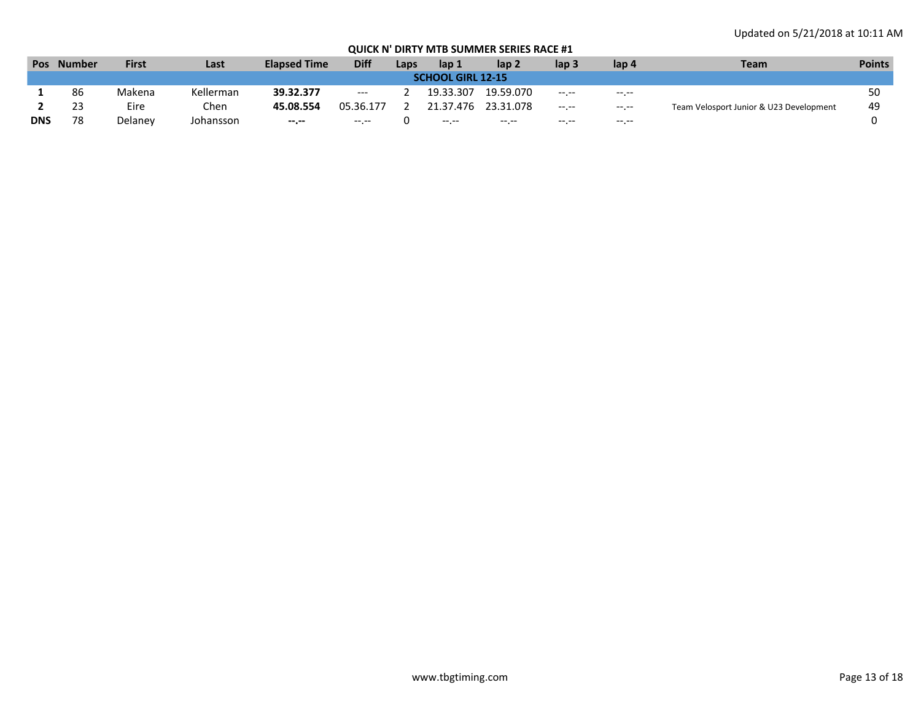| <b>Pos</b>               | <b>Number</b> | <b>First</b> | Last      | <b>Elapsed Time</b> | <b>Diff</b> | Laps | lap 1       | lap <sub>2</sub> | lap 3       | lap 4       | <b>Team</b>                             | <b>Points</b> |
|--------------------------|---------------|--------------|-----------|---------------------|-------------|------|-------------|------------------|-------------|-------------|-----------------------------------------|---------------|
| <b>SCHOOL GIRL 12-15</b> |               |              |           |                     |             |      |             |                  |             |             |                                         |               |
|                          | 86            | Makena       | Kellerman | 39.32.377           | $---$       |      | 19.33.307   | 19.59.070        | $-1.1 -$    | $- - - - -$ |                                         | 50            |
|                          | 23            | Eire         | Chen      | 45.08.554           | 05.36.177   |      | 21.37.476   | 23.31.078        | $-1$ , $-1$ | $-1$ , $-1$ | Team Velosport Junior & U23 Development | 49            |
| <b>DNS</b>               | 78            | Delanev      | Johansson | $- - - - -$         | $- - - - -$ |      | $-1$ , $-1$ | $\cdots$         | $- - - - -$ | $-1.1$      |                                         |               |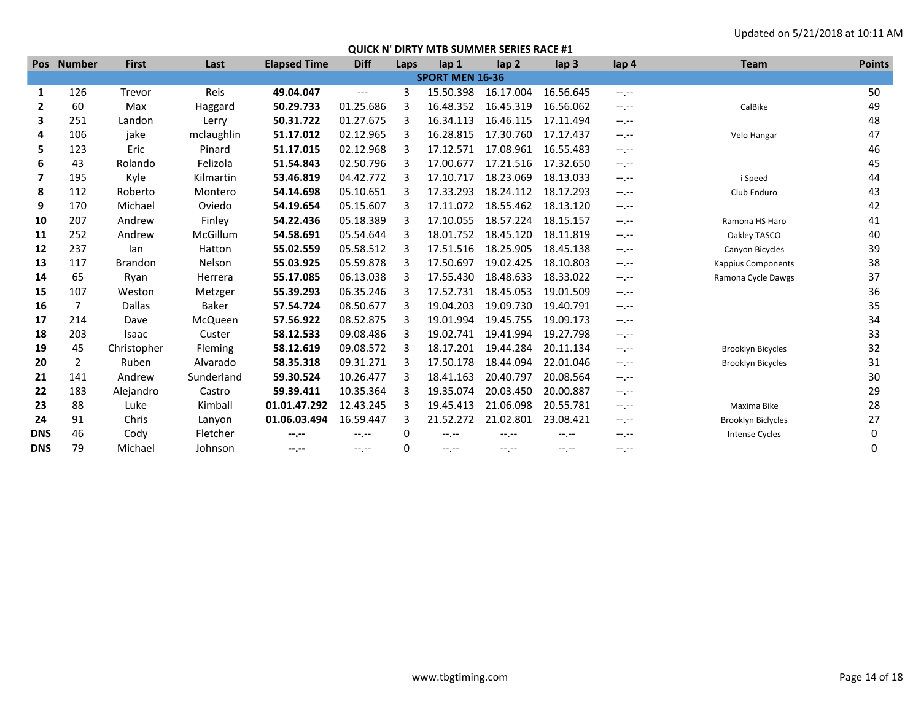|                | Pos Number     | <b>First</b>   | Last          | <b>Elapsed Time</b> | <b>Diff</b> | Laps | lap 1                  | lap <sub>2</sub> | lap <sub>3</sub> | lap 4            | <b>Team</b>               | <b>Points</b> |
|----------------|----------------|----------------|---------------|---------------------|-------------|------|------------------------|------------------|------------------|------------------|---------------------------|---------------|
|                |                |                |               |                     |             |      | <b>SPORT MEN 16-36</b> |                  |                  |                  |                           |               |
| 1              | 126            | Trevor         | Reis          | 49.04.047           | $---$       | 3    | 15.50.398              | 16.17.004        | 16.56.645        | $-1, -1$         |                           | 50            |
| $\overline{2}$ | 60             | Max            | Haggard       | 50.29.733           | 01.25.686   | 3    | 16.48.352              | 16.45.319        | 16.56.062        | $-1 - 1 - 1 = 0$ | CalBike                   | 49            |
| 3              | 251            | Landon         | Lerry         | 50.31.722           | 01.27.675   | 3    | 16.34.113              | 16.46.115        | 17.11.494        | $-1$             |                           | 48            |
| 4              | 106            | jake           | mclaughlin    | 51.17.012           | 02.12.965   | 3    | 16.28.815              | 17.30.760        | 17.17.437        | $-1.1 -$         | Velo Hangar               | 47            |
| 5              | 123            | Eric           | Pinard        | 51.17.015           | 02.12.968   | 3    | 17.12.571              | 17.08.961        | 16.55.483        | $-1 - 1 - 1 = 0$ |                           | 46            |
| 6              | 43             | Rolando        | Felizola      | 51.54.843           | 02.50.796   | 3    | 17.00.677              | 17.21.516        | 17.32.650        | $-1$ , $-1$      |                           | 45            |
| 7              | 195            | Kyle           | Kilmartin     | 53.46.819           | 04.42.772   | 3    | 17.10.717              | 18.23.069        | 18.13.033        | $-1.1 -$         | i Speed                   | 44            |
| 8              | 112            | Roberto        | Montero       | 54.14.698           | 05.10.651   | з    | 17.33.293              | 18.24.112        | 18.17.293        | $-1 - 1 - 1 = 0$ | Club Enduro               | 43            |
| 9              | 170            | Michael        | Oviedo        | 54.19.654           | 05.15.607   |      | 17.11.072              | 18.55.462        | 18.13.120        | $-1$ , $-1$      |                           | 42            |
| 10             | 207            | Andrew         | Finley        | 54.22.436           | 05.18.389   | 3    | 17.10.055              | 18.57.224        | 18.15.157        | $-1.1 - 1.0$     | Ramona HS Haro            | 41            |
| 11             | 252            | Andrew         | McGillum      | 54.58.691           | 05.54.644   | 3    | 18.01.752              | 18.45.120        | 18.11.819        | $-1, -1$         | Oakley TASCO              | 40            |
| 12             | 237            | lan            | Hatton        | 55.02.559           | 05.58.512   | 3    | 17.51.516              | 18.25.905        | 18.45.138        | $-1$ , $-1$      | Canyon Bicycles           | 39            |
| 13             | 117            | <b>Brandon</b> | <b>Nelson</b> | 55.03.925           | 05.59.878   | 3    | 17.50.697              | 19.02.425        | 18.10.803        | --.--            | <b>Kappius Components</b> | 38            |
| 14             | 65             | Ryan           | Herrera       | 55.17.085           | 06.13.038   | 3    | 17.55.430              | 18.48.633        | 18.33.022        | $-1, -1$         | Ramona Cycle Dawgs        | 37            |
| 15             | 107            | Weston         | Metzger       | 55.39.293           | 06.35.246   | 3    | 17.52.731              | 18.45.053        | 19.01.509        | $-1$ , $-1$      |                           | 36            |
| 16             | $\overline{7}$ | <b>Dallas</b>  | <b>Baker</b>  | 57.54.724           | 08.50.677   | 3    | 19.04.203              | 19.09.730        | 19.40.791        | $-1 - 1 - 1 = 0$ |                           | 35            |
| 17             | 214            | Dave           | McQueen       | 57.56.922           | 08.52.875   | 3    | 19.01.994              | 19.45.755        | 19.09.173        | $-1, -1$         |                           | 34            |
| 18             | 203            | Isaac          | Custer        | 58.12.533           | 09.08.486   | 3    | 19.02.741              | 19.41.994        | 19.27.798        | $-1$ , $-1$      |                           | 33            |
| 19             | 45             | Christopher    | Fleming       | 58.12.619           | 09.08.572   | 3    | 18.17.201              | 19.44.284        | 20.11.134        | $-1$ , $-1$      | <b>Brooklyn Bicycles</b>  | 32            |
| 20             | $\overline{2}$ | Ruben          | Alvarado      | 58.35.318           | 09.31.271   | 3    | 17.50.178              | 18.44.094        | 22.01.046        | --.--            | <b>Brooklyn Bicycles</b>  | 31            |
| 21             | 141            | Andrew         | Sunderland    | 59.30.524           | 10.26.477   |      | 18.41.163              | 20.40.797        | 20.08.564        | $-1. - -$        |                           | 30            |
| 22             | 183            | Alejandro      | Castro        | 59.39.411           | 10.35.364   | 3    | 19.35.074              | 20.03.450        | 20.00.887        | $-1.1 -$         |                           | 29            |
| 23             | 88             | Luke           | Kimball       | 01.01.47.292        | 12.43.245   | 3    | 19.45.413              | 21.06.098        | 20.55.781        | $-1$ , $-1$      | Maxima Bike               | 28            |
| 24             | 91             | Chris          | Lanyon        | 01.06.03.494        | 16.59.447   | 3    | 21.52.272              | 21.02.801        | 23.08.421        | $-1$ , $-1$      | Brooklyn Biclycles        | 27            |
| <b>DNS</b>     | 46             | Cody           | Fletcher      | --.--               | $-1.1 -$    | 0    | --.--                  | --.--            | --.--            | --.--            | <b>Intense Cycles</b>     | 0             |
| <b>DNS</b>     | 79             | Michael        | Johnson       | --.--               | $-1$ , $-1$ | 0    | $-1$                   | --.--            | $-1$ , $-1$      | --.--            |                           | 0             |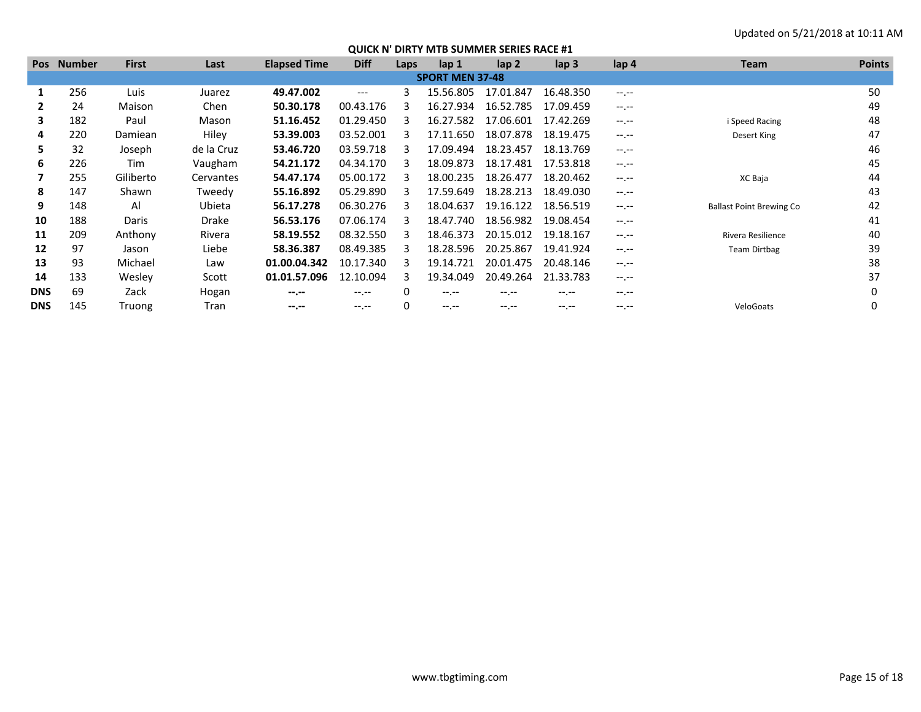| <b>Pos</b> | <b>Number</b> | <b>First</b> | Last       | <b>Elapsed Time</b> | <b>Diff</b>      | Laps | lap <sub>1</sub>       | lap <sub>2</sub> | lap <sub>3</sub> | lap <sub>4</sub> | <b>Team</b>                     | <b>Points</b> |
|------------|---------------|--------------|------------|---------------------|------------------|------|------------------------|------------------|------------------|------------------|---------------------------------|---------------|
|            |               |              |            |                     |                  |      | <b>SPORT MEN 37-48</b> |                  |                  |                  |                                 |               |
|            | 256           | Luis         | Juarez     | 49.47.002           | ---              | ς    | 15.56.805              | 17.01.847        | 16.48.350        | $-1$ , $-1$      |                                 | 50            |
|            | 24            | Maison       | Chen       | 50.30.178           | 00.43.176        |      | 16.27.934              | 16.52.785        | 17.09.459        | $-1$ , $-1$      |                                 | 49            |
| 3          | 182           | Paul         | Mason      | 51.16.452           | 01.29.450        |      | 16.27.582              | 17.06.601        | 17.42.269        | $-1 - 1 - 1 = 0$ | i Speed Racing                  | 48            |
| 4          | 220           | Damiean      | Hiley      | 53.39.003           | 03.52.001        |      | 17.11.650              | 18.07.878        | 18.19.475        | $-1 - 1 - 1 = 0$ | Desert King                     | 47            |
| 5          | 32            | Joseph       | de la Cruz | 53.46.720           | 03.59.718        |      | 17.09.494              | 18.23.457        | 18.13.769        | $-1$ , $-1$      |                                 | 46            |
| 6          | 226           | Tim          | Vaugham    | 54.21.172           | 04.34.170        |      | 18.09.873              | 18.17.481        | 17.53.818        | $-1$ , $-1$      |                                 | 45            |
|            | 255           | Giliberto    | Cervantes  | 54.47.174           | 05.00.172        |      | 18.00.235              | 18.26.477        | 18.20.462        | $-1$ , $-1$      | XC Baja                         | 44            |
| 8          | 147           | Shawn        | Tweedy     | 55.16.892           | 05.29.890        |      | 17.59.649              | 18.28.213        | 18.49.030        | $-1.1 -$         |                                 | 43            |
| 9          | 148           | Al           | Ubieta     | 56.17.278           | 06.30.276        |      | 18.04.637              | 19.16.122        | 18.56.519        | $-1 - 1 - 1 = 0$ | <b>Ballast Point Brewing Co</b> | 42            |
| 10         | 188           | Daris        | Drake      | 56.53.176           | 07.06.174        | R    | 18.47.740              | 18.56.982        | 19.08.454        | $-1$ , $-1$      |                                 | 41            |
| 11         | 209           | Anthony      | Rivera     | 58.19.552           | 08.32.550        |      | 18.46.373              | 20.15.012        | 19.18.167        | $-1 - 1 - 1 = 0$ | Rivera Resilience               | 40            |
| 12         | 97            | Jason        | Liebe      | 58.36.387           | 08.49.385        |      | 18.28.596              | 20.25.867        | 19.41.924        | $-1 - 1 - 1 = 0$ | <b>Team Dirtbag</b>             | 39            |
| 13         | 93            | Michael      | Law        | 01.00.04.342        | 10.17.340        |      | 19.14.721              | 20.01.475        | 20.48.146        | $-1 - 1 - 1 = 0$ |                                 | 38            |
| 14         | 133           | Wesley       | Scott      | 01.01.57.096        | 12.10.094        | ર    | 19.34.049              | 20.49.264        | 21.33.783        | $-1 - 1 - 1 = 0$ |                                 | 37            |
| <b>DNS</b> | 69            | Zack         | Hogan      | $- - - - -$         | $-1 - 1 - 1 = 0$ | 0    | $-1 - 1 - 1 = 0$       | -- --            | $-1. - -$        | $-1 - 1 - 1 = 0$ |                                 |               |
| <b>DNS</b> | 145           | Truong       | Tran       | $- - - - -$         | $-1.1 - 1.0$     | 0    |                        |                  | $- - - - -$      | $- - - - -$      | VeloGoats                       |               |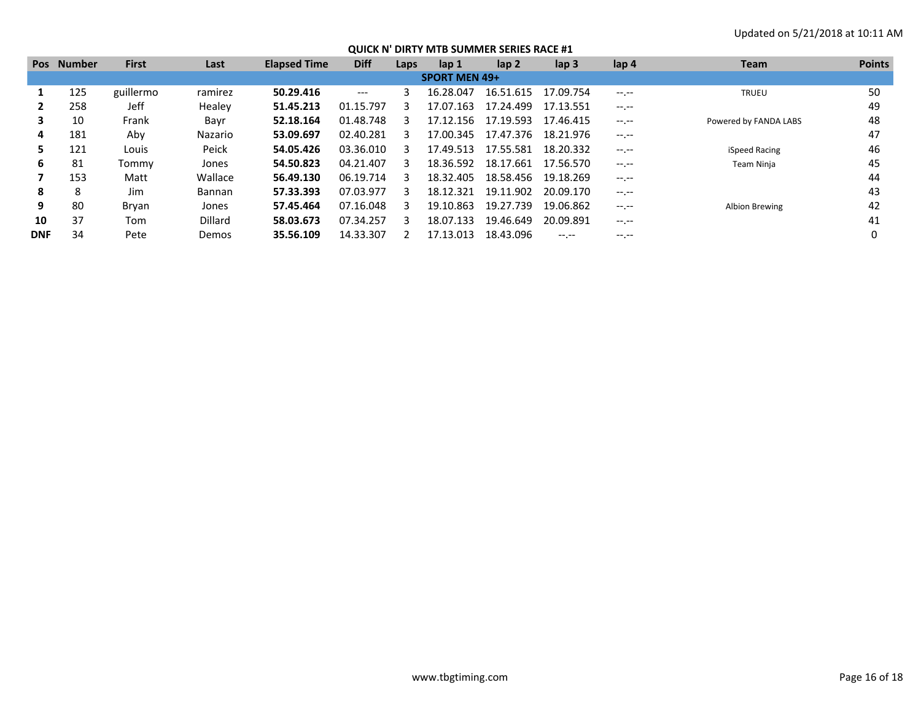|            | Pos Number           | <b>First</b> | Last           | <b>Elapsed Time</b> | <b>Diff</b> | Laps | lap 1     | lap <sub>2</sub> | lap <sub>3</sub> | lap 4            | <b>Team</b>           | <b>Points</b> |
|------------|----------------------|--------------|----------------|---------------------|-------------|------|-----------|------------------|------------------|------------------|-----------------------|---------------|
|            | <b>SPORT MEN 49+</b> |              |                |                     |             |      |           |                  |                  |                  |                       |               |
|            | 125                  | guillermo    | ramirez        | 50.29.416           | ---         |      | 16.28.047 | 16.51.615        | 17.09.754        | $-1$ , $-1$      | <b>TRUEU</b>          | 50            |
|            | 258                  | Jeff         | Healey         | 51.45.213           | 01.15.797   |      | 17.07.163 | 17.24.499        | 17.13.551        | $-1 - 1 - 1 = 0$ |                       | 49            |
| з.         | 10                   | Frank        | Bayr           | 52.18.164           | 01.48.748   |      | 17.12.156 | 17.19.593        | 17.46.415        | $-1 - 1 - 1 = 0$ | Powered by FANDA LABS | 48            |
| 4          | 181                  | Aby          | Nazario        | 53.09.697           | 02.40.281   |      | 17.00.345 | 17.47.376        | 18.21.976        | $-1 - 1 - 1 = 0$ |                       | 47            |
| 5.         | 121                  | Louis        | Peick          | 54.05.426           | 03.36.010   |      | 17.49.513 | 17.55.581        | 18.20.332        | $-1 - 1 - 1 = 0$ | iSpeed Racing         | 46            |
| 6.         | 81                   | Tommy        | Jones          | 54.50.823           | 04.21.407   | ₹    | 18.36.592 | 18.17.661        | 17.56.570        | $-1 - 1 - 1 = 0$ | Team Ninja            | 45            |
|            | 153                  | Matt         | Wallace        | 56.49.130           | 06.19.714   |      | 18.32.405 | 18.58.456        | 19.18.269        | $-1 - 1 - 1 = 0$ |                       | 44            |
| 8          | 8                    | Jim          | <b>Bannan</b>  | 57.33.393           | 07.03.977   |      | 18.12.321 | 19.11.902        | 20.09.170        | $-1$ , $-1$      |                       | 43            |
| 9          | 80                   | Bryan        | Jones          | 57.45.464           | 07.16.048   |      | 19.10.863 | 19.27.739        | 19.06.862        | $-1. - -$        | Albion Brewing        | 42            |
| 10         | 37                   | Tom          | <b>Dillard</b> | 58.03.673           | 07.34.257   |      | 18.07.133 | 19.46.649        | 20.09.891        |                  |                       | 41            |
| <b>DNF</b> | 34                   | Pete         | <b>Demos</b>   | 35.56.109           | 14.33.307   |      | 17.13.013 | 18.43.096        | $- - - - -$      | $---$            |                       |               |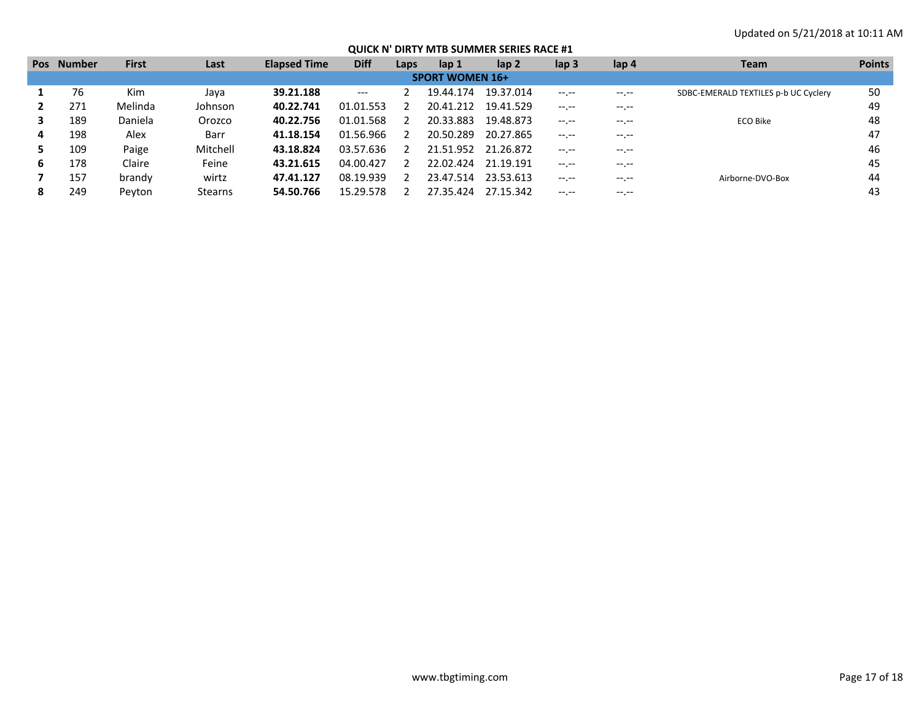| Pos | <b>Number</b>          | <b>First</b> | Last           | <b>Elapsed Time</b> | <b>Diff</b> | Laps | lap 1     | lap 2     | lap <sub>3</sub> | lap 4        | <b>Team</b>                          | <b>Points</b> |  |
|-----|------------------------|--------------|----------------|---------------------|-------------|------|-----------|-----------|------------------|--------------|--------------------------------------|---------------|--|
|     | <b>SPORT WOMEN 16+</b> |              |                |                     |             |      |           |           |                  |              |                                      |               |  |
|     | 76                     | Kim          | Java           | 39.21.188           | $---$       |      | 19.44.174 | 19.37.014 | $-1. - -$        | $-1.1 - 1.0$ | SDBC-EMERALD TEXTILES p-b UC Cyclery | 50            |  |
|     | 271                    | Melinda      | Johnson        | 40.22.741           | 01.01.553   |      | 20.41.212 | 19.41.529 | $-1. - -$        | -- --        |                                      | 49            |  |
|     | 189                    | Daniela      | Orozco         | 40.22.756           | 01.01.568   |      | 20.33.883 | 19.48.873 | $-1$             | $- - - - -$  | ECO Bike                             | 48            |  |
| 4   | 198                    | Alex         | Barr           | 41.18.154           | 01.56.966   |      | 20.50.289 | 20.27.865 | $-1$ , $-1$      | -- --        |                                      | 47            |  |
|     | 109                    | Paige        | Mitchell       | 43.18.824           | 03.57.636   |      | 21.51.952 | 21.26.872 | $-1$ , $-1$      | $---$        |                                      | 46            |  |
| 6   | 178                    | Claire       | Feine          | 43.21.615           | 04.00.427   |      | 22.02.424 | 21.19.191 | $-1. - -$        | --.--        |                                      | 45            |  |
|     | 157                    | brandy       | wirtz          | 47.41.127           | 08.19.939   |      | 23.47.514 | 23.53.613 | $-1$ , $-1$      | $---$        | Airborne-DVO-Box                     | 44            |  |
|     | 249                    | Pevton       | <b>Stearns</b> | 54.50.766           | 15.29.578   |      | 27.35.424 | 27.15.342 | $-1$ , $-1$      |              |                                      | 43            |  |